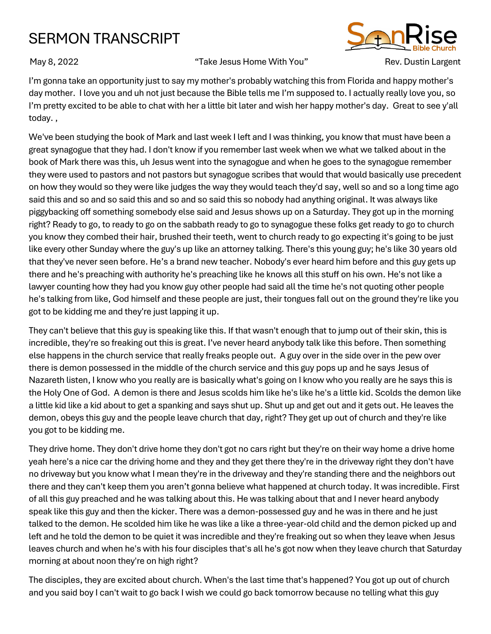## SERMON TRANSCRIPT

## May 8, 2022 **Take Jesus Home With You** "Now" Rev. Dustin Largent



I'm gonna take an opportunity just to say my mother's probably watching this from Florida and happy mother's day mother. I love you and uh not just because the Bible tells me I'm supposed to. I actually really love you, so I'm pretty excited to be able to chat with her a little bit later and wish her happy mother's day. Great to see y'all today. ,

We've been studying the book of Mark and last week I left and I was thinking, you know that must have been a great synagogue that they had. I don't know if you remember last week when we what we talked about in the book of Mark there was this, uh Jesus went into the synagogue and when he goes to the synagogue remember they were used to pastors and not pastors but synagogue scribes that would that would basically use precedent on how they would so they were like judges the way they would teach they'd say, well so and so a long time ago said this and so and so said this and so and so said this so nobody had anything original. It was always like piggybacking off something somebody else said and Jesus shows up on a Saturday. They got up in the morning right? Ready to go, to ready to go on the sabbath ready to go to synagogue these folks get ready to go to church you know they combed their hair, brushed their teeth, went to church ready to go expecting it's going to be just like every other Sunday where the guy's up like an attorney talking. There's this young guy; he's like 30 years old that they've never seen before. He's a brand new teacher. Nobody's ever heard him before and this guy gets up there and he's preaching with authority he's preaching like he knows all this stuff on his own. He's not like a lawyer counting how they had you know guy other people had said all the time he's not quoting other people he's talking from like, God himself and these people are just, their tongues fall out on the ground they're like you got to be kidding me and they're just lapping it up.

They can't believe that this guy is speaking like this. If that wasn't enough that to jump out of their skin, this is incredible, they're so freaking out this is great. I've never heard anybody talk like this before. Then something else happens in the church service that really freaks people out. A guy over in the side over in the pew over there is demon possessed in the middle of the church service and this guy pops up and he says Jesus of Nazareth listen, I know who you really are is basically what's going on I know who you really are he says this is the Holy One of God. A demon is there and Jesus scolds him like he's like he's a little kid. Scolds the demon like a little kid like a kid about to get a spanking and says shut up. Shut up and get out and it gets out. He leaves the demon, obeys this guy and the people leave church that day, right? They get up out of church and they're like you got to be kidding me.

They drive home. They don't drive home they don't got no cars right but they're on their way home a drive home yeah here's a nice car the driving home and they and they get there they're in the driveway right they don't have no driveway but you know what I mean they're in the driveway and they're standing there and the neighbors out there and they can't keep them you aren't gonna believe what happened at church today. It was incredible. First of all this guy preached and he was talking about this. He was talking about that and I never heard anybody speak like this guy and then the kicker. There was a demon-possessed guy and he was in there and he just talked to the demon. He scolded him like he was like a like a three-year-old child and the demon picked up and left and he told the demon to be quiet it was incredible and they're freaking out so when they leave when Jesus leaves church and when he's with his four disciples that's all he's got now when they leave church that Saturday morning at about noon they're on high right?

The disciples, they are excited about church. When's the last time that's happened? You got up out of church and you said boy I can't wait to go back I wish we could go back tomorrow because no telling what this guy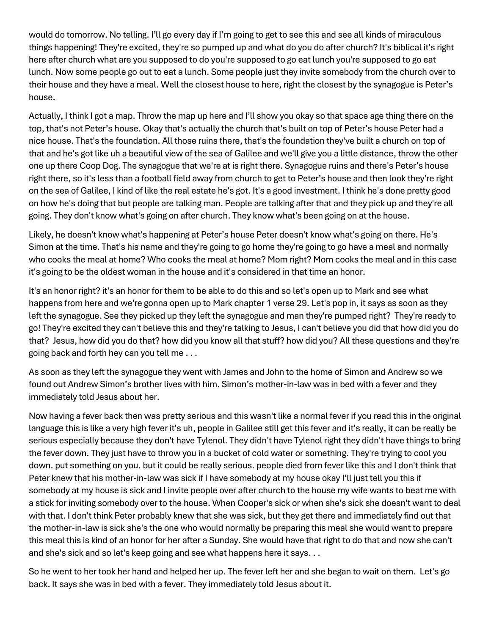would do tomorrow. No telling. I'll go every day if I'm going to get to see this and see all kinds of miraculous things happening! They're excited, they're so pumped up and what do you do after church? It's biblical it's right here after church what are you supposed to do you're supposed to go eat lunch you're supposed to go eat lunch. Now some people go out to eat a lunch. Some people just they invite somebody from the church over to their house and they have a meal. Well the closest house to here, right the closest by the synagogue is Peter's house.

Actually, I think I got a map. Throw the map up here and I'll show you okay so that space age thing there on the top, that's not Peter's house. Okay that's actually the church that's built on top of Peter's house Peter had a nice house. That's the foundation. All those ruins there, that's the foundation they've built a church on top of that and he's got like uh a beautiful view of the sea of Galilee and we'll give you a little distance, throw the other one up there Coop Dog. The synagogue that we're at is right there. Synagogue ruins and there's Peter's house right there, so it's less than a football field away from church to get to Peter's house and then look they're right on the sea of Galilee, I kind of like the real estate he's got. It's a good investment. I think he's done pretty good on how he's doing that but people are talking man. People are talking after that and they pick up and they're all going. They don't know what's going on after church. They know what's been going on at the house.

Likely, he doesn't know what's happening at Peter's house Peter doesn't know what's going on there. He's Simon at the time. That's his name and they're going to go home they're going to go have a meal and normally who cooks the meal at home? Who cooks the meal at home? Mom right? Mom cooks the meal and in this case it's going to be the oldest woman in the house and it's considered in that time an honor.

It's an honor right? it's an honor for them to be able to do this and so let's open up to Mark and see what happens from here and we're gonna open up to Mark chapter 1 verse 29. Let's pop in, it says as soon as they left the synagogue. See they picked up they left the synagogue and man they're pumped right? They're ready to go! They're excited they can't believe this and they're talking to Jesus, I can't believe you did that how did you do that? Jesus, how did you do that? how did you know all that stuff? how did you? All these questions and they're going back and forth hey can you tell me . . .

As soon as they left the synagogue they went with James and John to the home of Simon and Andrew so we found out Andrew Simon's brother lives with him. Simon's mother-in-law was in bed with a fever and they immediately told Jesus about her.

Now having a fever back then was pretty serious and this wasn't like a normal fever if you read this in the original language this is like a very high fever it's uh, people in Galilee still get this fever and it's really, it can be really be serious especially because they don't have Tylenol. They didn't have Tylenol right they didn't have things to bring the fever down. They just have to throw you in a bucket of cold water or something. They're trying to cool you down. put something on you. but it could be really serious. people died from fever like this and I don't think that Peter knew that his mother-in-law was sick if I have somebody at my house okay I'll just tell you this if somebody at my house is sick and I invite people over after church to the house my wife wants to beat me with a stick for inviting somebody over to the house. When Cooper's sick or when she's sick she doesn't want to deal with that. I don't think Peter probably knew that she was sick, but they get there and immediately find out that the mother-in-law is sick she's the one who would normally be preparing this meal she would want to prepare this meal this is kind of an honor for her after a Sunday. She would have that right to do that and now she can't and she's sick and so let's keep going and see what happens here it says. . .

So he went to her took her hand and helped her up. The fever left her and she began to wait on them. Let's go back. It says she was in bed with a fever. They immediately told Jesus about it.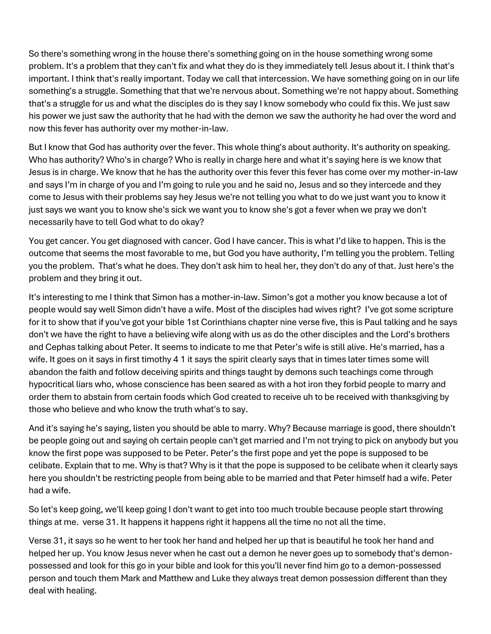So there's something wrong in the house there's something going on in the house something wrong some problem. It's a problem that they can't fix and what they do is they immediately tell Jesus about it. I think that's important. I think that's really important. Today we call that intercession. We have something going on in our life something's a struggle. Something that that we're nervous about. Something we're not happy about. Something that's a struggle for us and what the disciples do is they say I know somebody who could fix this. We just saw his power we just saw the authority that he had with the demon we saw the authority he had over the word and now this fever has authority over my mother-in-law.

But I know that God has authority over the fever. This whole thing's about authority. It's authority on speaking. Who has authority? Who's in charge? Who is really in charge here and what it's saying here is we know that Jesus is in charge. We know that he has the authority over this fever this fever has come over my mother-in-law and says I'm in charge of you and I'm going to rule you and he said no, Jesus and so they intercede and they come to Jesus with their problems say hey Jesus we're not telling you what to do we just want you to know it just says we want you to know she's sick we want you to know she's got a fever when we pray we don't necessarily have to tell God what to do okay?

You get cancer. You get diagnosed with cancer. God I have cancer. This is what I'd like to happen. This is the outcome that seems the most favorable to me, but God you have authority, I'm telling you the problem. Telling you the problem. That's what he does. They don't ask him to heal her, they don't do any of that. Just here's the problem and they bring it out.

It's interesting to me I think that Simon has a mother-in-law. Simon's got a mother you know because a lot of people would say well Simon didn't have a wife. Most of the disciples had wives right? I've got some scripture for it to show that if you've got your bible 1st Corinthians chapter nine verse five, this is Paul talking and he says don't we have the right to have a believing wife along with us as do the other disciples and the Lord's brothers and Cephas talking about Peter. It seems to indicate to me that Peter's wife is still alive. He's married, has a wife. It goes on it says in first timothy 4 1 it says the spirit clearly says that in times later times some will abandon the faith and follow deceiving spirits and things taught by demons such teachings come through hypocritical liars who, whose conscience has been seared as with a hot iron they forbid people to marry and order them to abstain from certain foods which God created to receive uh to be received with thanksgiving by those who believe and who know the truth what's to say.

And it's saying he's saying, listen you should be able to marry. Why? Because marriage is good, there shouldn't be people going out and saying oh certain people can't get married and I'm not trying to pick on anybody but you know the first pope was supposed to be Peter. Peter's the first pope and yet the pope is supposed to be celibate. Explain that to me. Why is that? Why is it that the pope is supposed to be celibate when it clearly says here you shouldn't be restricting people from being able to be married and that Peter himself had a wife. Peter had a wife.

So let's keep going, we'll keep going I don't want to get into too much trouble because people start throwing things at me. verse 31. It happens it happens right it happens all the time no not all the time.

Verse 31, it says so he went to her took her hand and helped her up that is beautiful he took her hand and helped her up. You know Jesus never when he cast out a demon he never goes up to somebody that's demonpossessed and look for this go in your bible and look for this you'll never find him go to a demon-possessed person and touch them Mark and Matthew and Luke they always treat demon possession different than they deal with healing.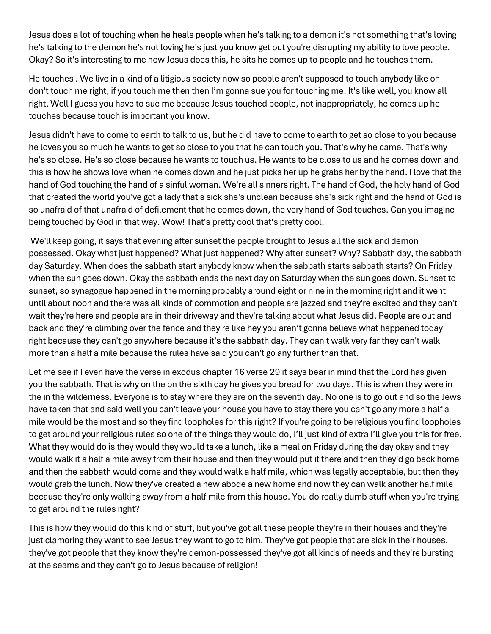Jesus does a lot of touching when he heals people when he's talking to a demon it's not something that's loving he's talking to the demon he's not loving he's just you know get out you're disrupting my ability to love people. Okay? So it's interesting to me how Jesus does this, he sits he comes up to people and he touches them.

He touches . We live in a kind of a litigious society now so people aren't supposed to touch anybody like oh don't touch me right, if you touch me then then I'm gonna sue you for touching me. It's like well, you know all right, Well I guess you have to sue me because Jesus touched people, not inappropriately, he comes up he touches because touch is important you know.

Jesus didn't have to come to earth to talk to us, but he did have to come to earth to get so close to you because he loves you so much he wants to get so close to you that he can touch you. That's why he came. That's why he's so close. He's so close because he wants to touch us. He wants to be close to us and he comes down and this is how he shows love when he comes down and he just picks her up he grabs her by the hand. I love that the hand of God touching the hand of a sinful woman. We're all sinners right. The hand of God, the holy hand of God that created the world you've got a lady that's sick she's unclean because she's sick right and the hand of God is so unafraid of that unafraid of defilement that he comes down, the very hand of God touches. Can you imagine being touched by God in that way. Wow! That's pretty cool that's pretty cool.

We'll keep going, it says that evening after sunset the people brought to Jesus all the sick and demon possessed. Okay what just happened? What just happened? Why after sunset? Why? Sabbath day, the sabbath day Saturday. When does the sabbath start anybody know when the sabbath starts sabbath starts? On Friday when the sun goes down. Okay the sabbath ends the next day on Saturday when the sun goes down. Sunset to sunset, so synagogue happened in the morning probably around eight or nine in the morning right and it went until about noon and there was all kinds of commotion and people are jazzed and they're excited and they can't wait they're here and people are in their driveway and they're talking about what Jesus did. People are out and back and they're climbing over the fence and they're like hey you aren't gonna believe what happened today right because they can't go anywhere because it's the sabbath day. They can't walk very far they can't walk more than a half a mile because the rules have said you can't go any further than that.

Let me see if I even have the verse in exodus chapter 16 verse 29 it says bear in mind that the Lord has given you the sabbath. That is why on the on the sixth day he gives you bread for two days. This is when they were in the in the wilderness. Everyone is to stay where they are on the seventh day. No one is to go out and so the Jews have taken that and said well you can't leave your house you have to stay there you can't go any more a half a mile would be the most and so they find loopholes for this right? If you're going to be religious you find loopholes to get around your religious rules so one of the things they would do, I'll just kind of extra I'll give you this for free. What they would do is they would they would take a lunch, like a meal on Friday during the day okay and they would walk it a half a mile away from their house and then they would put it there and then they'd go back home and then the sabbath would come and they would walk a half mile, which was legally acceptable, but then they would grab the lunch. Now they've created a new abode a new home and now they can walk another half mile because they're only walking away from a half mile from this house. You do really dumb stuff when you're trying to get around the rules right?

This is how they would do this kind of stuff, but you've got all these people they're in their houses and they're just clamoring they want to see Jesus they want to go to him, They've got people that are sick in their houses, they've got people that they know they're demon-possessed they've got all kinds of needs and they're bursting at the seams and they can't go to Jesus because of religion!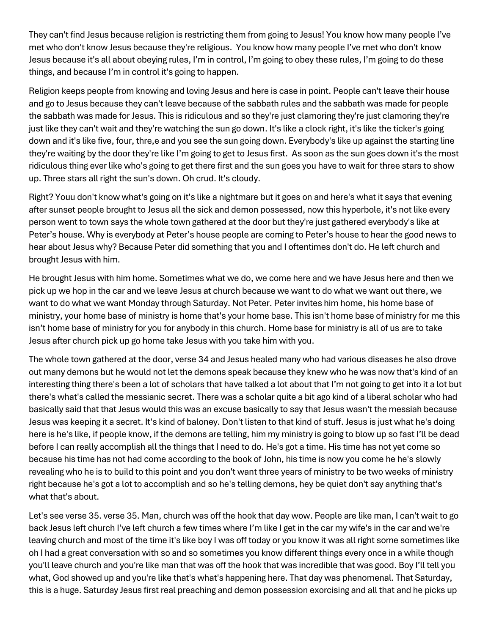They can't find Jesus because religion is restricting them from going to Jesus! You know how many people I've met who don't know Jesus because they're religious. You know how many people I've met who don't know Jesus because it's all about obeying rules, I'm in control, I'm going to obey these rules, I'm going to do these things, and because I'm in control it's going to happen.

Religion keeps people from knowing and loving Jesus and here is case in point. People can't leave their house and go to Jesus because they can't leave because of the sabbath rules and the sabbath was made for people the sabbath was made for Jesus. This is ridiculous and so they're just clamoring they're just clamoring they're just like they can't wait and they're watching the sun go down. It's like a clock right, it's like the ticker's going down and it's like five, four, thre,e and you see the sun going down. Everybody's like up against the starting line they're waiting by the door they're like I'm going to get to Jesus first. As soon as the sun goes down it's the most ridiculous thing ever like who's going to get there first and the sun goes you have to wait for three stars to show up. Three stars all right the sun's down. Oh crud. It's cloudy.

Right? Youu don't know what's going on it's like a nightmare but it goes on and here's what it says that evening after sunset people brought to Jesus all the sick and demon possessed, now this hyperbole, it's not like every person went to town says the whole town gathered at the door but they're just gathered everybody's like at Peter's house. Why is everybody at Peter's house people are coming to Peter's house to hear the good news to hear about Jesus why? Because Peter did something that you and I oftentimes don't do. He left church and brought Jesus with him.

He brought Jesus with him home. Sometimes what we do, we come here and we have Jesus here and then we pick up we hop in the car and we leave Jesus at church because we want to do what we want out there, we want to do what we want Monday through Saturday. Not Peter. Peter invites him home, his home base of ministry, your home base of ministry is home that's your home base. This isn't home base of ministry for me this isn't home base of ministry for you for anybody in this church. Home base for ministry is all of us are to take Jesus after church pick up go home take Jesus with you take him with you.

The whole town gathered at the door, verse 34 and Jesus healed many who had various diseases he also drove out many demons but he would not let the demons speak because they knew who he was now that's kind of an interesting thing there's been a lot of scholars that have talked a lot about that I'm not going to get into it a lot but there's what's called the messianic secret. There was a scholar quite a bit ago kind of a liberal scholar who had basically said that that Jesus would this was an excuse basically to say that Jesus wasn't the messiah because Jesus was keeping it a secret. It's kind of baloney. Don't listen to that kind of stuff. Jesus is just what he's doing here is he's like, if people know, if the demons are telling, him my ministry is going to blow up so fast I'll be dead before I can really accomplish all the things that I need to do. He's got a time. His time has not yet come so because his time has not had come according to the book of John, his time is now you come he he's slowly revealing who he is to build to this point and you don't want three years of ministry to be two weeks of ministry right because he's got a lot to accomplish and so he's telling demons, hey be quiet don't say anything that's what that's about.

Let's see verse 35. verse 35. Man, church was off the hook that day wow. People are like man, I can't wait to go back Jesus left church I've left church a few times where I'm like I get in the car my wife's in the car and we're leaving church and most of the time it's like boy I was off today or you know it was all right some sometimes like oh I had a great conversation with so and so sometimes you know different things every once in a while though you'll leave church and you're like man that was off the hook that was incredible that was good. Boy I'll tell you what, God showed up and you're like that's what's happening here. That day was phenomenal. That Saturday, this is a huge. Saturday Jesus first real preaching and demon possession exorcising and all that and he picks up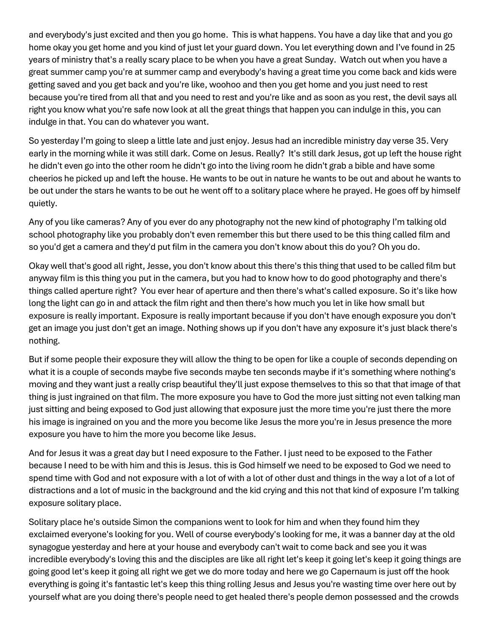and everybody's just excited and then you go home. This is what happens. You have a day like that and you go home okay you get home and you kind of just let your guard down. You let everything down and I've found in 25 years of ministry that's a really scary place to be when you have a great Sunday. Watch out when you have a great summer camp you're at summer camp and everybody's having a great time you come back and kids were getting saved and you get back and you're like, woohoo and then you get home and you just need to rest because you're tired from all that and you need to rest and you're like and as soon as you rest, the devil says all right you know what you're safe now look at all the great things that happen you can indulge in this, you can indulge in that. You can do whatever you want.

So yesterday I'm going to sleep a little late and just enjoy. Jesus had an incredible ministry day verse 35. Very early in the morning while it was still dark. Come on Jesus. Really? It's still dark Jesus, got up left the house right he didn't even go into the other room he didn't go into the living room he didn't grab a bible and have some cheerios he picked up and left the house. He wants to be out in nature he wants to be out and about he wants to be out under the stars he wants to be out he went off to a solitary place where he prayed. He goes off by himself quietly.

Any of you like cameras? Any of you ever do any photography not the new kind of photography I'm talking old school photography like you probably don't even remember this but there used to be this thing called film and so you'd get a camera and they'd put film in the camera you don't know about this do you? Oh you do.

Okay well that's good all right, Jesse, you don't know about this there's this thing that used to be called film but anyway film is this thing you put in the camera, but you had to know how to do good photography and there's things called aperture right? You ever hear of aperture and then there's what's called exposure. So it's like how long the light can go in and attack the film right and then there's how much you let in like how small but exposure is really important. Exposure is really important because if you don't have enough exposure you don't get an image you just don't get an image. Nothing shows up if you don't have any exposure it's just black there's nothing.

But if some people their exposure they will allow the thing to be open for like a couple of seconds depending on what it is a couple of seconds maybe five seconds maybe ten seconds maybe if it's something where nothing's moving and they want just a really crisp beautiful they'll just expose themselves to this so that that image of that thing is just ingrained on that film. The more exposure you have to God the more just sitting not even talking man just sitting and being exposed to God just allowing that exposure just the more time you're just there the more his image is ingrained on you and the more you become like Jesus the more you're in Jesus presence the more exposure you have to him the more you become like Jesus.

And for Jesus it was a great day but I need exposure to the Father. I just need to be exposed to the Father because I need to be with him and this is Jesus. this is God himself we need to be exposed to God we need to spend time with God and not exposure with a lot of with a lot of other dust and things in the way a lot of a lot of distractions and a lot of music in the background and the kid crying and this not that kind of exposure I'm talking exposure solitary place.

Solitary place he's outside Simon the companions went to look for him and when they found him they exclaimed everyone's looking for you. Well of course everybody's looking for me, it was a banner day at the old synagogue yesterday and here at your house and everybody can't wait to come back and see you it was incredible everybody's loving this and the disciples are like all right let's keep it going let's keep it going things are going good let's keep it going all right we get we do more today and here we go Capernaum is just off the hook everything is going it's fantastic let's keep this thing rolling Jesus and Jesus you're wasting time over here out by yourself what are you doing there's people need to get healed there's people demon possessed and the crowds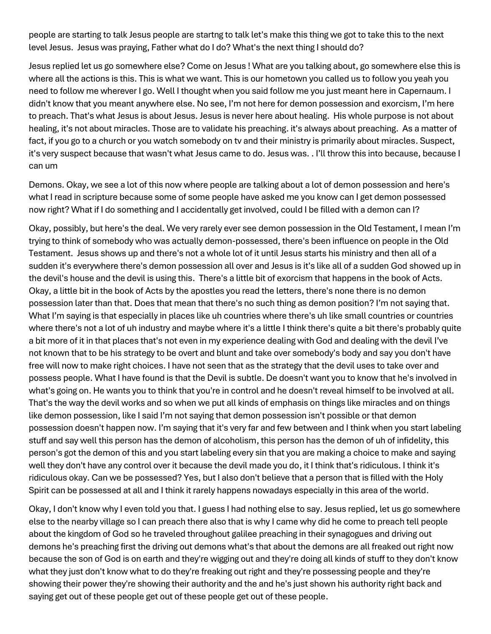people are starting to talk Jesus people are startng to talk let's make this thing we got to take this to the next level Jesus. Jesus was praying, Father what do I do? What's the next thing I should do?

Jesus replied let us go somewhere else? Come on Jesus ! What are you talking about, go somewhere else this is where all the actions is this. This is what we want. This is our hometown you called us to follow you yeah you need to follow me wherever I go. Well I thought when you said follow me you just meant here in Capernaum. I didn't know that you meant anywhere else. No see, I'm not here for demon possession and exorcism, I'm here to preach. That's what Jesus is about Jesus. Jesus is never here about healing. His whole purpose is not about healing, it's not about miracles. Those are to validate his preaching. it's always about preaching. As a matter of fact, if you go to a church or you watch somebody on tv and their ministry is primarily about miracles. Suspect, it's very suspect because that wasn't what Jesus came to do. Jesus was. . I'll throw this into because, because I can um

Demons. Okay, we see a lot of this now where people are talking about a lot of demon possession and here's what I read in scripture because some of some people have asked me you know can I get demon possessed now right? What if I do something and I accidentally get involved, could I be filled with a demon can I?

Okay, possibly, but here's the deal. We very rarely ever see demon possession in the Old Testament, I mean I'm trying to think of somebody who was actually demon-possessed, there's been influence on people in the Old Testament. Jesus shows up and there's not a whole lot of it until Jesus starts his ministry and then all of a sudden it's everywhere there's demon possession all over and Jesus is it's like all of a sudden God showed up in the devil's house and the devil is using this. There's a little bit of exorcism that happens in the book of Acts. Okay, a little bit in the book of Acts by the apostles you read the letters, there's none there is no demon possession later than that. Does that mean that there's no such thing as demon position? I'm not saying that. What I'm saying is that especially in places like uh countries where there's uh like small countries or countries where there's not a lot of uh industry and maybe where it's a little I think there's quite a bit there's probably quite a bit more of it in that places that's not even in my experience dealing with God and dealing with the devil I've not known that to be his strategy to be overt and blunt and take over somebody's body and say you don't have free will now to make right choices. I have not seen that as the strategy that the devil uses to take over and possess people. What I have found is that the Devil is subtle. De doesn't want you to know that he's involved in what's going on. He wants you to think that you're in control and he doesn't reveal himself to be involved at all. That's the way the devil works and so when we put all kinds of emphasis on things like miracles and on things like demon possession, like I said I'm not saying that demon possession isn't possible or that demon possession doesn't happen now. I'm saying that it's very far and few between and I think when you start labeling stuff and say well this person has the demon of alcoholism, this person has the demon of uh of infidelity, this person's got the demon of this and you start labeling every sin that you are making a choice to make and saying well they don't have any control over it because the devil made you do, it I think that's ridiculous. I think it's ridiculous okay. Can we be possessed? Yes, but I also don't believe that a person that is filled with the Holy Spirit can be possessed at all and I think it rarely happens nowadays especially in this area of the world.

Okay, I don't know why I even told you that. I guess I had nothing else to say. Jesus replied, let us go somewhere else to the nearby village so I can preach there also that is why I came why did he come to preach tell people about the kingdom of God so he traveled throughout galilee preaching in their synagogues and driving out demons he's preaching first the driving out demons what's that about the demons are all freaked out right now because the son of God is on earth and they're wigging out and they're doing all kinds of stuff to they don't know what they just don't know what to do they're freaking out right and they're possessing people and they're showing their power they're showing their authority and the and he's just shown his authority right back and saying get out of these people get out of these people get out of these people.